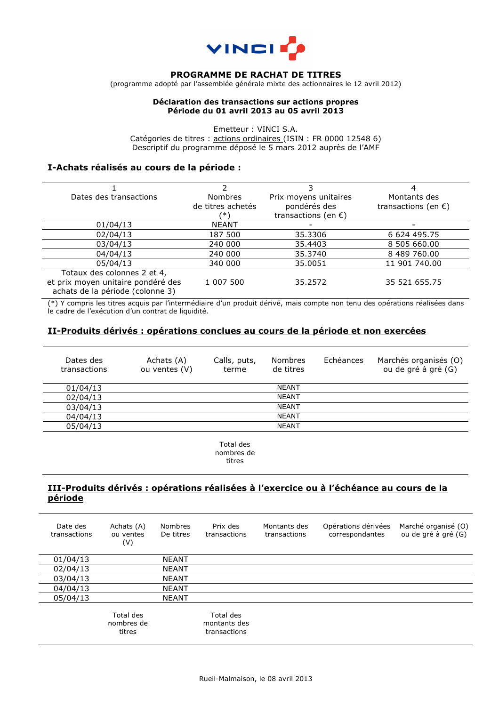

#### **PROGRAMME DE RACHAT DE TITRES**

(programme adopté par l'assemblée générale mixte des actionnaires le 12 avril 2012)

#### **Déclaration des transactions sur actions propres Période du 01 avril 2013 au 05 avril 2013**

Emetteur : VINCI S.A. Catégories de titres : actions ordinaires (ISIN : FR 0000 12548 6) Descriptif du programme déposé le 5 mars 2012 auprès de l'AMF

## **I-Achats réalisés au cours de la période :**

|                   | 3                             |                               |
|-------------------|-------------------------------|-------------------------------|
| <b>Nombres</b>    | Prix moyens unitaires         | Montants des                  |
| de titres achetés | pondérés des                  | transactions (en $\epsilon$ ) |
| (*                | transactions (en $\epsilon$ ) |                               |
| <b>NEANT</b>      |                               |                               |
| 187 500           | 35.3306                       | 6 624 495.75                  |
| 240 000           | 35,4403                       | 8 505 660,00                  |
| 240 000           | 35,3740                       | 8 489 760,00                  |
| 340 000           | 35.0051                       | 11 901 740.00                 |
|                   |                               |                               |
| 1 007 500         | 35.2572                       | 35 521 655.75                 |
|                   |                               |                               |
|                   |                               |                               |

(\*) Y compris les titres acquis par l'intermédiaire d'un produit dérivé, mais compte non tenu des opérations réalisées dans le cadre de l'exécution d'un contrat de liquidité.

### **II-Produits dérivés : opérations conclues au cours de la période et non exercées**

| Dates des<br>transactions | Achats (A)<br>ou ventes (V) | Calls, puts,<br>terme | <b>Nombres</b><br>de titres | Echéances | Marchés organisés (O)<br>ou de gré à gré (G) |
|---------------------------|-----------------------------|-----------------------|-----------------------------|-----------|----------------------------------------------|
| 01/04/13                  |                             |                       | <b>NEANT</b>                |           |                                              |
| 02/04/13                  |                             |                       | <b>NEANT</b>                |           |                                              |
| 03/04/13                  |                             |                       | <b>NEANT</b>                |           |                                              |
| 04/04/13                  |                             |                       | <b>NEANT</b>                |           |                                              |
| 05/04/13                  |                             |                       | <b>NEANT</b>                |           |                                              |

Total des nombres de titres

## **III-Produits dérivés : opérations réalisées à l'exercice ou à l'échéance au cours de la période**

| Date des<br>transactions | Achats (A)<br>ou ventes<br>(V)    | <b>Nombres</b><br>De titres | Prix des<br>transactions                  | Montants des<br>transactions | Opérations dérivées<br>correspondantes | Marché organisé (O)<br>ou de gré à gré (G) |
|--------------------------|-----------------------------------|-----------------------------|-------------------------------------------|------------------------------|----------------------------------------|--------------------------------------------|
| 01/04/13                 |                                   | <b>NEANT</b>                |                                           |                              |                                        |                                            |
| 02/04/13                 |                                   | <b>NEANT</b>                |                                           |                              |                                        |                                            |
| 03/04/13                 |                                   | <b>NEANT</b>                |                                           |                              |                                        |                                            |
| 04/04/13                 |                                   | <b>NEANT</b>                |                                           |                              |                                        |                                            |
| 05/04/13                 |                                   | <b>NEANT</b>                |                                           |                              |                                        |                                            |
|                          | Total des<br>nombres de<br>titres |                             | Total des<br>montants des<br>transactions |                              |                                        |                                            |